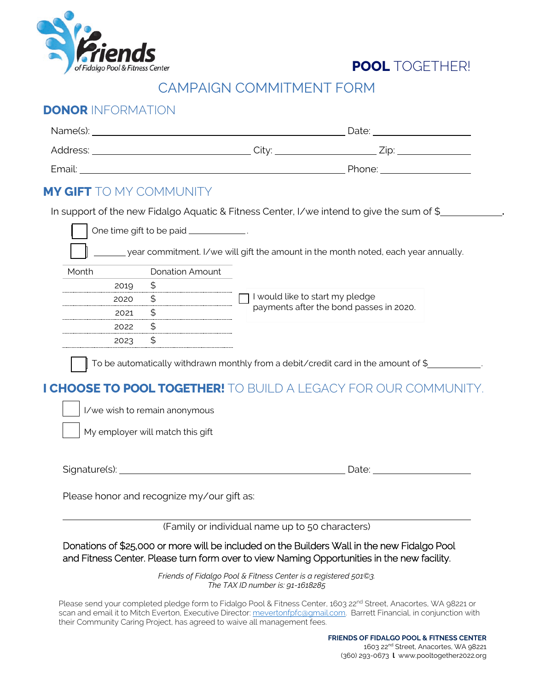



## CAMPAIGN COMMITMENT FORM

## **DONOR** INFORMATION

| Name(s): | Date: |        |
|----------|-------|--------|
| Address: | City: | ∠ip:   |
| Email:   |       | Phone: |

## **MY GIFT** TO MY COMMUNITY

In support of the new Fidalgo Aquatic & Fitness Center, I/we intend to give the sum of \$ **.**

|       | One time gift to be paid ____ | year commitment. I/we will gift the amount in the month noted, each year annually. |  |  |  |
|-------|-------------------------------|------------------------------------------------------------------------------------|--|--|--|
|       |                               |                                                                                    |  |  |  |
| Month | Donation Amount               |                                                                                    |  |  |  |
| 2010  |                               |                                                                                    |  |  |  |
| 2020  |                               | I would like to start my pledge                                                    |  |  |  |
| 2021  |                               | payments after the bond passes in 2020.                                            |  |  |  |
| 2022  |                               |                                                                                    |  |  |  |
|       |                               |                                                                                    |  |  |  |
|       |                               |                                                                                    |  |  |  |

 $\parallel$  To be automatically withdrawn monthly from a debit/credit card in the amount of \$

## **I CHOOSE TO POOL TOGETHER!** TO BUILD A LEGACY FOR OUR COMMUNITY.

I/we wish to remain anonymous

My employer will match this gift

Signature(s): Date:

Please honor and recognize my/our gift as:

(Family or individual name up to 50 characters)

Donations of \$25,000 or more will be included on the Builders Wall in the new Fidalgo Pool and Fitness Center. Please turn form over to view Naming Opportunities in the new facility.

> *Friends of Fidalgo Pool & Fitness Center is a registered 501©3. The TAX ID number is: 91-1618285*

Please send your completed pledge form to Fidalgo Pool & Fitness Center, 1603 22<sup>nd</sup> Street, Anacortes, WA 98221 or scan and email it to Mitch Everton, Executive Director: [mevertonfpfc@gmail.com.](mailto:mevertonfpfc@gmail.com) Barrett Financial, in conjunction with their Community Caring Project, has agreed to waive all management fees.